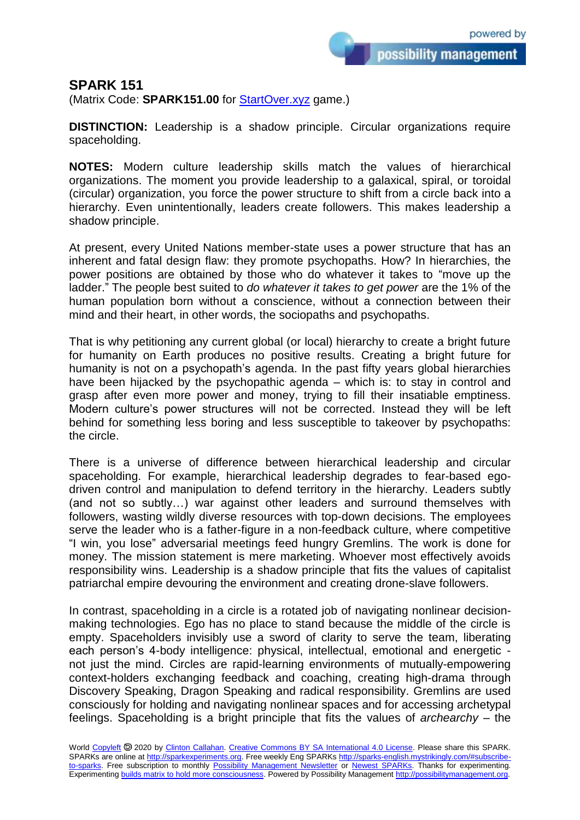possibility management

## **SPARK 151**

(Matrix Code: **SPARK151.00** for **StartOver.xyz** game.)

**DISTINCTION:** Leadership is a shadow principle. Circular organizations require spaceholding.

**NOTES:** Modern culture leadership skills match the values of hierarchical organizations. The moment you provide leadership to a galaxical, spiral, or toroidal (circular) organization, you force the power structure to shift from a circle back into a hierarchy. Even unintentionally, leaders create followers. This makes leadership a shadow principle.

At present, every United Nations member-state uses a power structure that has an inherent and fatal design flaw: they promote psychopaths. How? In hierarchies, the power positions are obtained by those who do whatever it takes to "move up the ladder." The people best suited to *do whatever it takes to get power* are the 1% of the human population born without a conscience, without a connection between their mind and their heart, in other words, the sociopaths and psychopaths.

That is why petitioning any current global (or local) hierarchy to create a bright future for humanity on Earth produces no positive results. Creating a bright future for humanity is not on a psychopath's agenda. In the past fifty years global hierarchies have been hijacked by the psychopathic agenda – which is: to stay in control and grasp after even more power and money, trying to fill their insatiable emptiness. Modern culture's power structures will not be corrected. Instead they will be left behind for something less boring and less susceptible to takeover by psychopaths: the circle.

There is a universe of difference between hierarchical leadership and circular spaceholding. For example, hierarchical leadership degrades to fear-based egodriven control and manipulation to defend territory in the hierarchy. Leaders subtly (and not so subtly…) war against other leaders and surround themselves with followers, wasting wildly diverse resources with top-down decisions. The employees serve the leader who is a father-figure in a non-feedback culture, where competitive "I win, you lose" adversarial meetings feed hungry Gremlins. The work is done for money. The mission statement is mere marketing. Whoever most effectively avoids responsibility wins. Leadership is a shadow principle that fits the values of capitalist patriarchal empire devouring the environment and creating drone-slave followers.

In contrast, spaceholding in a circle is a rotated job of navigating nonlinear decisionmaking technologies. Ego has no place to stand because the middle of the circle is empty. Spaceholders invisibly use a sword of clarity to serve the team, liberating each person's 4-body intelligence: physical, intellectual, emotional and energetic not just the mind. Circles are rapid-learning environments of mutually-empowering context-holders exchanging feedback and coaching, creating high-drama through Discovery Speaking, Dragon Speaking and radical responsibility. Gremlins are used consciously for holding and navigating nonlinear spaces and for accessing archetypal feelings. Spaceholding is a bright principle that fits the values of *archearchy* – the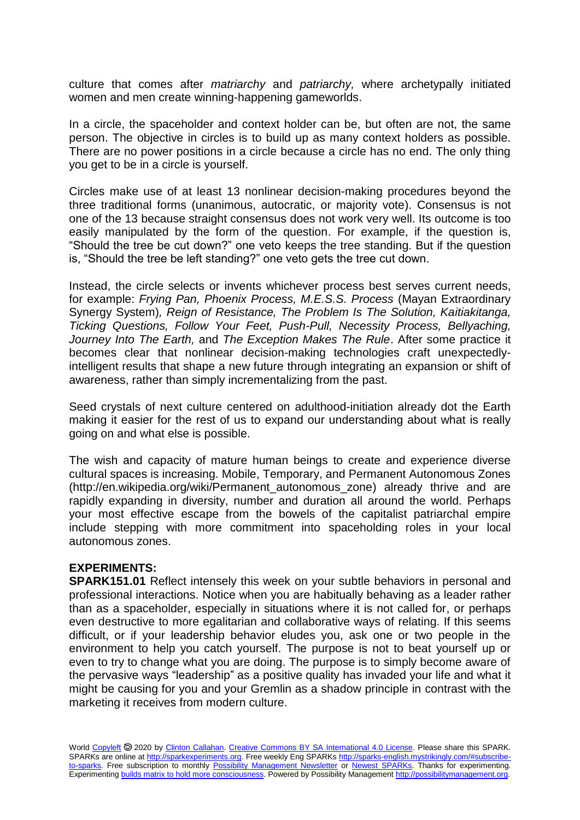culture that comes after *matriarchy* and *patriarchy,* where archetypally initiated women and men create winning-happening gameworlds.

In a circle, the spaceholder and context holder can be, but often are not, the same person. The objective in circles is to build up as many context holders as possible. There are no power positions in a circle because a circle has no end. The only thing you get to be in a circle is yourself.

Circles make use of at least 13 nonlinear decision-making procedures beyond the three traditional forms (unanimous, autocratic, or majority vote). Consensus is not one of the 13 because straight consensus does not work very well. Its outcome is too easily manipulated by the form of the question. For example, if the question is, "Should the tree be cut down?" one veto keeps the tree standing. But if the question is, "Should the tree be left standing?" one veto gets the tree cut down.

Instead, the circle selects or invents whichever process best serves current needs, for example: *Frying Pan, Phoenix Process, M.E.S.S. Process* (Mayan Extraordinary Synergy System)*, Reign of Resistance, The Problem Is The Solution, Kaitiakitanga, Ticking Questions, Follow Your Feet, Push-Pull, Necessity Process, Bellyaching, Journey Into The Earth,* and *The Exception Makes The Rule*. After some practice it becomes clear that nonlinear decision-making technologies craft unexpectedlyintelligent results that shape a new future through integrating an expansion or shift of awareness, rather than simply incrementalizing from the past.

Seed crystals of next culture centered on adulthood-initiation already dot the Earth making it easier for the rest of us to expand our understanding about what is really going on and what else is possible.

The wish and capacity of mature human beings to create and experience diverse cultural spaces is increasing. Mobile, Temporary, and Permanent Autonomous Zones (http://en.wikipedia.org/wiki/Permanent\_autonomous\_zone) already thrive and are rapidly expanding in diversity, number and duration all around the world. Perhaps your most effective escape from the bowels of the capitalist patriarchal empire include stepping with more commitment into spaceholding roles in your local autonomous zones.

## **EXPERIMENTS:**

**SPARK151.01** Reflect intensely this week on your subtle behaviors in personal and professional interactions. Notice when you are habitually behaving as a leader rather than as a spaceholder, especially in situations where it is not called for, or perhaps even destructive to more egalitarian and collaborative ways of relating. If this seems difficult, or if your leadership behavior eludes you, ask one or two people in the environment to help you catch yourself. The purpose is not to beat yourself up or even to try to change what you are doing. The purpose is to simply become aware of the pervasive ways "leadership" as a positive quality has invaded your life and what it might be causing for you and your Gremlin as a shadow principle in contrast with the marketing it receives from modern culture.

World [Copyleft](https://en.wikipedia.org/wiki/Copyleft) <sup>5</sup> 2020 by [Clinton Callahan.](http://clintoncallahan.mystrikingly.com/) [Creative Commons BY SA International 4.0 License.](https://creativecommons.org/licenses/by-sa/4.0/) Please share this SPARK. SPARKs are online at [http://sparkexperiments.org.](http://sparks-english.mystrikingly.com/) Free weekly Eng SPARKs [http://sparks-english.mystrikingly.com/#subscribe](http://sparks-english.mystrikingly.com/#subscribe-to-sparks)[to-sparks.](http://sparks-english.mystrikingly.com/#subscribe-to-sparks) Free subscription to monthly [Possibility Management Newsletter](https://possibilitymanagement.org/news/) or [Newest SPARKs.](https://www.clintoncallahan.org/newsletter-1) Thanks for experimenting. Experimentin[g builds matrix to hold more consciousness.](http://spaceport.mystrikingly.com/) Powered by Possibility Managemen[t http://possibilitymanagement.org.](http://possibilitymanagement.org/)